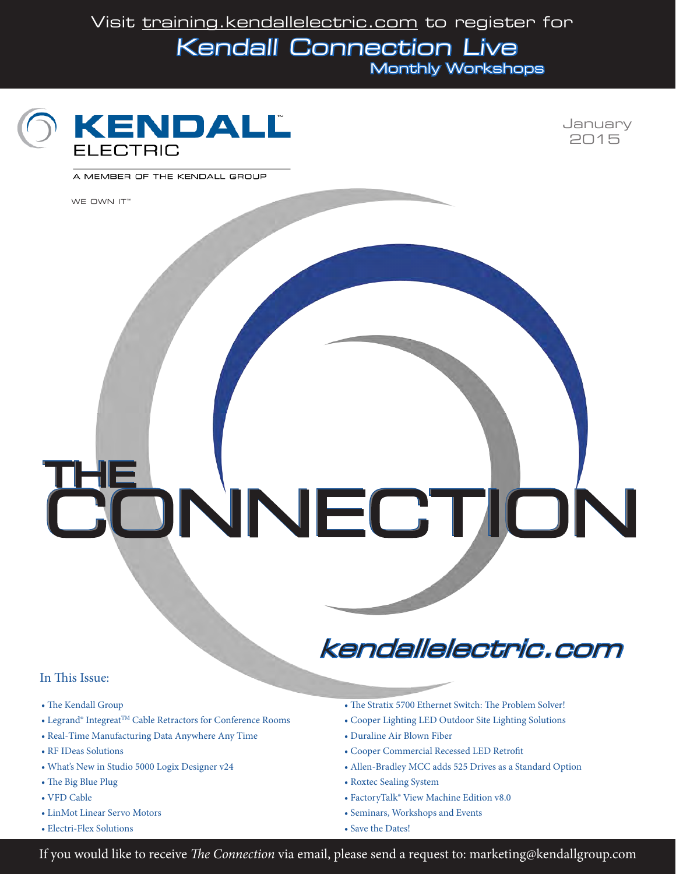Visit [training.kendallelectric.com to register for](http://training.kendallelectric.com) Kendall Connection Live Monthly Workshops





A MEMBER OF THE KENDALL GROUP

[WE OWN IT™](www.kendallelectric.com)

THE CONNECTION CONNECTIONTHE

#### In This Issue:

- The Kendall Group
- Legrand® Integreat<sup>™</sup> Cable Retractors for Conference Rooms
- Real-Time Manufacturing Data Anywhere Any Time
- RF IDeas Solutions
- What's New in Studio 5000 Logix Designer v24
- The Big Blue Plug
- VFD Cable
- LinMot Linear Servo Motors
- Electri-Flex Solutions

[kendallelectric.com](www.kendallelectric.com)

- The Stratix 5700 Ethernet Switch: The Problem Solver!
- Cooper Lighting LED Outdoor Site Lighting Solutions
- Duraline Air Blown Fiber
- Cooper Commercial Recessed LED Retrofit
- Allen-Bradley MCC adds 525 Drives as a Standard Option
- Roxtec Sealing System
- FactoryTalk® View Machine Edition v8.0
- Seminars, Workshops and Events
- Save the Dates!

If you would like to receive *The Connection* via email, please send a request to: marketing@kendallgroup.com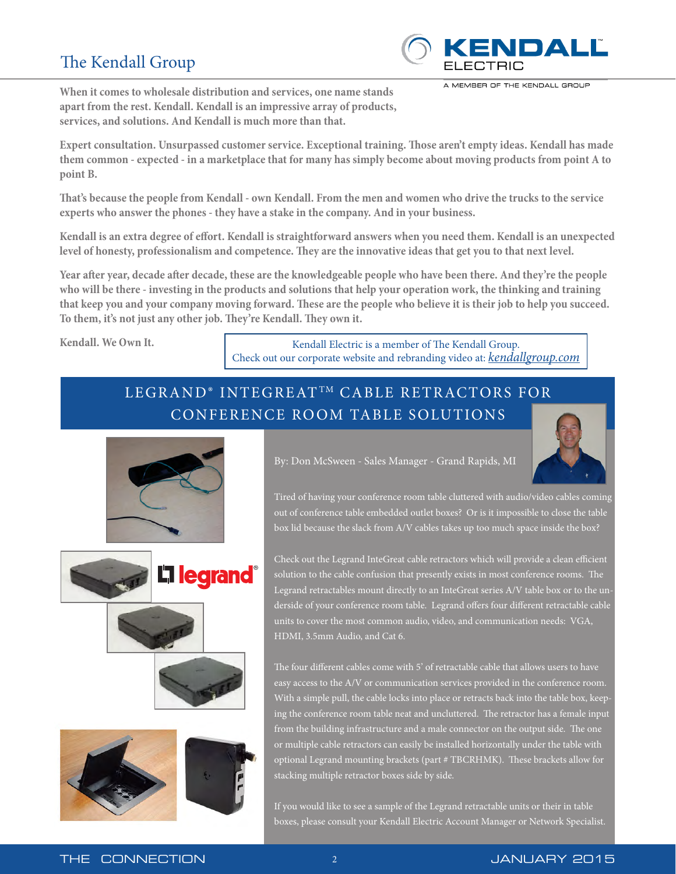## The Kendall Group



A MEMBER OF THE KENDALL GROUP

**When it comes to wholesale distribution and services, one name stands apart from the rest. Kendall. Kendall is an impressive array of products, services, and solutions. And Kendall is much more than that.**

**Expert consultation. Unsurpassed customer service. Exceptional training. Those aren't empty ideas. Kendall has made them common - expected - in a marketplace that for many has simply become about moving products from point A to point B.** 

**That's because the people from Kendall - own Kendall. From the men and women who drive the trucks to the service experts who answer the phones - they have a stake in the company. And in your business.**

**Kendall is an extra degree of effort. Kendall is straightforward answers when you need them. Kendall is an unexpected level of honesty, professionalism and competence. They are the innovative ideas that get you to that next level.**

**Year after year, decade after decade, these are the knowledgeable people who have been there. And they're the people who will be there - investing in the products and solutions that help your operation work, the thinking and training that keep you and your company moving forward. These are the people who believe it is their job to help you succeed. To them, it's not just any other job. They're Kendall. They own it.** 

**Kendall. We Own It. Kendall Electric is a member of The Kendall Group.** Check out our corporate website and rebranding video at: *[kendallgroup.com](www.kendallgroup.com)*

## LEGRAND® INTEGREATTM CABLE RETRACTORS FOR CONFERENCE ROOM TABLE SOLUTIONS



**L'i legrand**®



By: Don McSween - Sales Manager - Grand Rapids, MI

Tired of having your conference room table cluttered with audio/video cables coming out of conference table embedded outlet boxes? Or is it impossible to close the table box lid because the slack from A/V cables takes up too much space inside the box?

Check out the Legrand InteGreat cable retractors which will provide a clean efficient solution to the cable confusion that presently exists in most conference rooms. The Legrand retractables mount directly to an InteGreat series A/V table box or to the underside of your conference room table. Legrand offers four different retractable cable units to cover the most common audio, video, and communication needs: VGA, HDMI, 3.5mm Audio, and Cat 6.

The four different cables come with 5' of retractable cable that allows users to have easy access to the A/V or communication services provided in the conference room. With a simple pull, the cable locks into place or retracts back into the table box, keeping the conference room table neat and uncluttered. The retractor has a female input from the building infrastructure and a male connector on the output side. The one or multiple cable retractors can easily be installed horizontally under the table with optional Legrand mounting brackets (part # TBCRHMK). These brackets allow for stacking multiple retractor boxes side by side.

If you would like to see a sample of the Legrand retractable units or their in table boxes, please consult your Kendall Electric Account Manager or Network Specialist.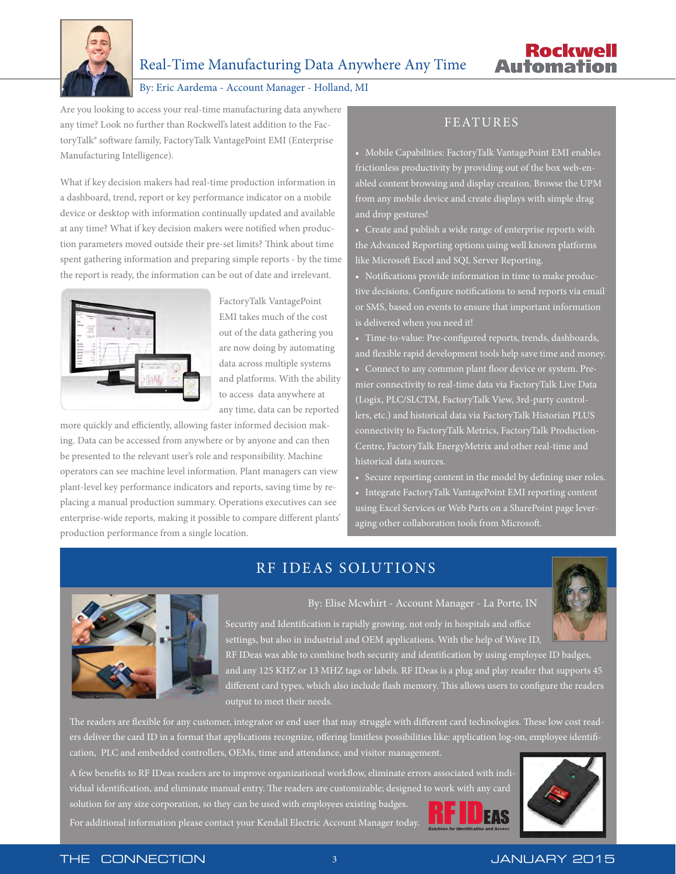

#### By: Eric Aardema - Account Manager - Holland, MI

Are you looking to access your real-time manufacturing data anywhere any time? Look no further than Rockwell's latest addition to the FactoryTalk® software family, FactoryTalk VantagePoint EMI (Enterprise Manufacturing Intelligence).

What if key decision makers had real-time production information in a dashboard, trend, report or key performance indicator on a mobile device or desktop with information continually updated and available at any time? What if key decision makers were notified when production parameters moved outside their pre-set limits? Think about time spent gathering information and preparing simple reports - by the time the report is ready, the information can be out of date and irrelevant.



FactoryTalk VantagePoint EMI takes much of the cost out of the data gathering you are now doing by automating data across multiple systems and platforms. With the ability to access data anywhere at any time, data can be reported

more quickly and efficiently, allowing faster informed decision making. Data can be accessed from anywhere or by anyone and can then be presented to the relevant user's role and responsibility. Machine operators can see machine level information. Plant managers can view plant-level key performance indicators and reports, saving time by replacing a manual production summary. Operations executives can see enterprise-wide reports, making it possible to compare different plants' production performance from a single location.

#### FEATURES

• Mobile Capabilities: FactoryTalk VantagePoint EMI enables frictionless productivity by providing out of the box web-enabled content browsing and display creation. Browse the UPM from any mobile device and create displays with simple drag and drop gestures!

• Create and publish a wide range of enterprise reports with the Advanced Reporting options using well known platforms like Microsoft Excel and SQL Server Reporting.

• Notifications provide information in time to make productive decisions. Configure notifications to send reports via email or SMS, based on events to ensure that important information is delivered when you need it!

• Time-to-value: Pre-configured reports, trends, dashboards, and flexible rapid development tools help save time and money.

• Connect to any common plant floor device or system. Premier connectivity to real-time data via FactoryTalk Live Data (Logix, PLC/SLCTM, FactoryTalk View, 3rd-party controllers, etc.) and historical data via FactoryTalk Historian PLUS connectivity to FactoryTalk Metrics, FactoryTalk Production-Centre, FactoryTalk EnergyMetrix and other real-time and historical data sources.

• Secure reporting content in the model by defining user roles. • Integrate FactoryTalk VantagePoint EMI reporting content using Excel Services or Web Parts on a SharePoint page leveraging other collaboration tools from Microsoft.

## RF IDEAS SOLUTIONS



#### By: Elise Mcwhirt - Account Manager - La Porte, IN

Security and Identification is rapidly growing, not only in hospitals and office settings, but also in industrial and OEM applications. With the help of Wave ID,

RF IDeas was able to combine both security and identification by using employee ID badges, and any 125 KHZ or 13 MHZ tags or labels. RF IDeas is a plug and play reader that supports 45 different card types, which also include flash memory. This allows users to configure the readers output to meet their needs.

The readers are flexible for any customer, integrator or end user that may struggle with different card technologies. These low cost readers deliver the card ID in a format that applications recognize, offering limitless possibilities like: application log-on, employee identification, PLC and embedded controllers, OEMs, time and attendance, and visitor management.

A few benefits to RF IDeas readers are to improve organizational workflow, eliminate errors associated with individual identification, and eliminate manual entry. The readers are customizable; designed to work with any card solution for any size corporation, so they can be used with employees existing badges For additional information please contact your Kendall Electric Account Manager today.

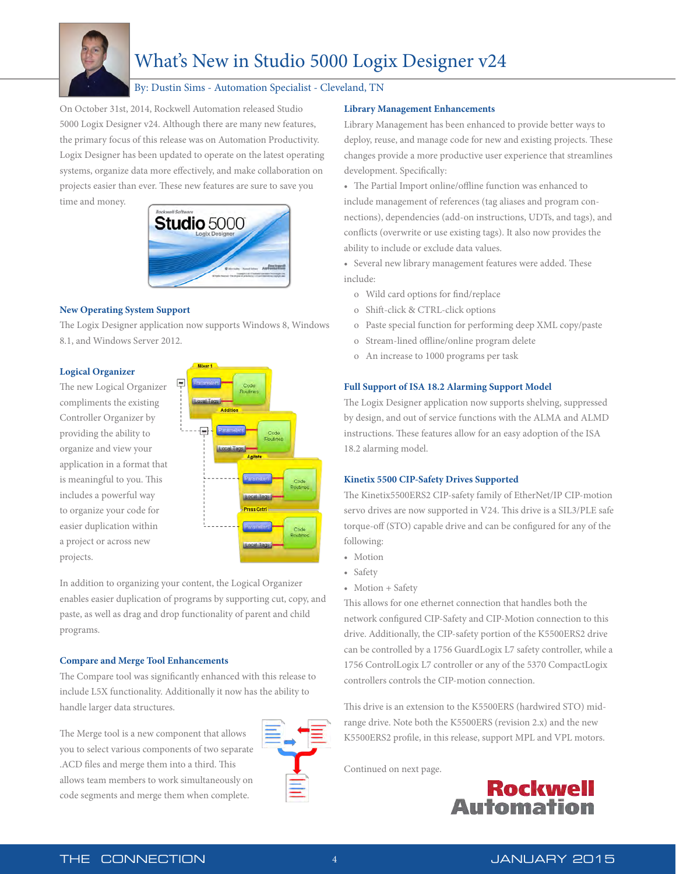

# What's New in Studio 5000 Logix Designer v24

#### By: Dustin Sims - Automation Specialist - Cleveland, TN

On October 31st, 2014, Rockwell Automation released Studio 5000 Logix Designer v24. Although there are many new features, the primary focus of this release was on Automation Productivity. Logix Designer has been updated to operate on the latest operating systems, organize data more effectively, and make collaboration on projects easier than ever. These new features are sure to save you time and money.



#### **New Operating System Support**

The Logix Designer application now supports Windows 8, Windows 8.1, and Windows Server 2012.

#### **Logical Organizer**

The new Logical Organizer compliments the existing Controller Organizer by providing the ability to organize and view your application in a format that is meaningful to you. This includes a powerful way to organize your code for easier duplication within a project or across new projects.



In addition to organizing your content, the Logical Organizer enables easier duplication of programs by supporting cut, copy, and paste, as well as drag and drop functionality of parent and child programs.

#### **Compare and Merge Tool Enhancements**

The Compare tool was significantly enhanced with this release to include L5X functionality. Additionally it now has the ability to handle larger data structures.

The Merge tool is a new component that allows you to select various components of two separate .ACD files and merge them into a third. This allows team members to work simultaneously on code segments and merge them when complete.



#### **Library Management Enhancements**

Library Management has been enhanced to provide better ways to deploy, reuse, and manage code for new and existing projects. These changes provide a more productive user experience that streamlines development. Specifically:

• The Partial Import online/offline function was enhanced to include management of references (tag aliases and program connections), dependencies (add-on instructions, UDTs, and tags), and conflicts (overwrite or use existing tags). It also now provides the ability to include or exclude data values.

• Several new library management features were added. These include:

- o Wild card options for find/replace
- o Shift-click & CTRL-click options
- o Paste special function for performing deep XML copy/paste
- o Stream-lined offline/online program delete
- o An increase to 1000 programs per task

#### **Full Support of ISA 18.2 Alarming Support Model**

The Logix Designer application now supports shelving, suppressed by design, and out of service functions with the ALMA and ALMD instructions. These features allow for an easy adoption of the ISA 18.2 alarming model.

#### **Kinetix 5500 CIP-Safety Drives Supported**

The Kinetix5500ERS2 CIP-safety family of EtherNet/IP CIP-motion servo drives are now supported in V24. This drive is a SIL3/PLE safe torque-off (STO) capable drive and can be configured for any of the following:

- Motion
- Safety
- Motion + Safety

This allows for one ethernet connection that handles both the network configured CIP-Safety and CIP-Motion connection to this drive. Additionally, the CIP-safety portion of the K5500ERS2 drive can be controlled by a 1756 GuardLogix L7 safety controller, while a 1756 ControlLogix L7 controller or any of the 5370 CompactLogix controllers controls the CIP-motion connection.

This drive is an extension to the K5500ERS (hardwired STO) midrange drive. Note both the K5500ERS (revision 2.x) and the new K5500ERS2 profile, in this release, support MPL and VPL motors.

Continued on next page.

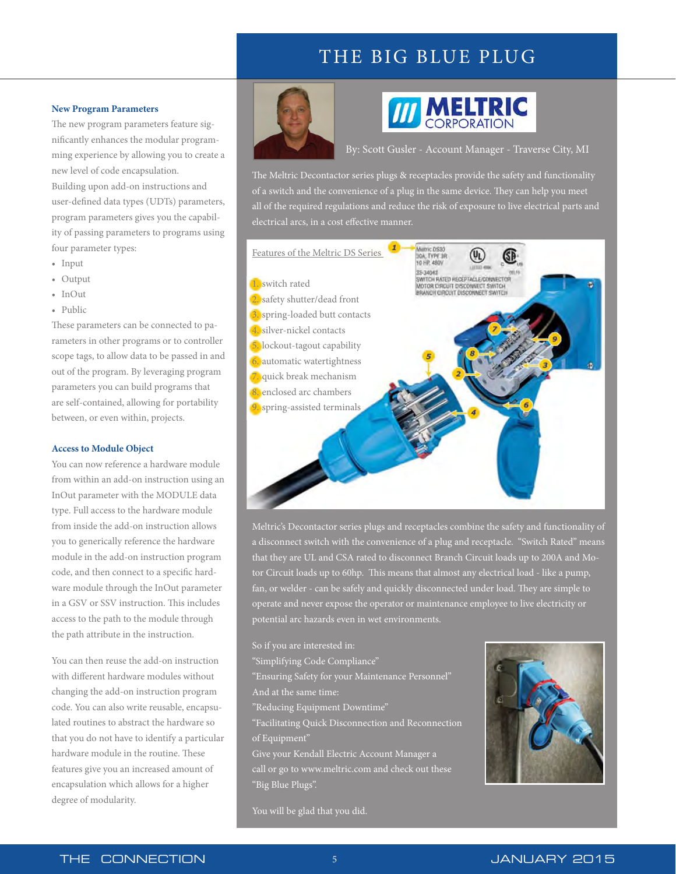# THE BIG BLUE PLUG

#### **New Program Parameters**

The new program parameters feature significantly enhances the modular programming experience by allowing you to create a new level of code encapsulation. Building upon add-on instructions and user-defined data types (UDTs) parameters, program parameters gives you the capability of passing parameters to programs using four parameter types:

- Input
- Output
- InOut
- Public

These parameters can be connected to parameters in other programs or to controller scope tags, to allow data to be passed in and out of the program. By leveraging program parameters you can build programs that are self-contained, allowing for portability between, or even within, projects.

#### **Access to Module Object**

You can now reference a hardware module from within an add-on instruction using an InOut parameter with the MODULE data type. Full access to the hardware module from inside the add-on instruction allows you to generically reference the hardware module in the add-on instruction program code, and then connect to a specific hardware module through the InOut parameter in a GSV or SSV instruction. This includes access to the path to the module through the path attribute in the instruction.

You can then reuse the add-on instruction with different hardware modules without changing the add-on instruction program code. You can also write reusable, encapsulated routines to abstract the hardware so that you do not have to identify a particular hardware module in the routine. These features give you an increased amount of encapsulation which allows for a higher degree of modularity.



# **III MELTRIC**

By: Scott Gusler - Account Manager - Traverse City, MI

The Meltric Decontactor series plugs & receptacles provide the safety and functionality of a switch and the convenience of a plug in the same device. They can help you meet all of the required regulations and reduce the risk of exposure to live electrical parts and electrical arcs, in a cost effective manner.



Meltric's Decontactor series plugs and receptacles combine the safety and functionality of a disconnect switch with the convenience of a plug and receptacle. "Switch Rated" means that they are UL and CSA rated to disconnect Branch Circuit loads up to 200A and Motor Circuit loads up to 60hp. This means that almost any electrical load - like a pump, fan, or welder - can be safely and quickly disconnected under load. They are simple to operate and never expose the operator or maintenance employee to live electricity or

So if you are interested in: "Simplifying Code Compliance" "Ensuring Safety for your Maintenance Personnel" And at the same time: "Reducing Equipment Downtime" "Facilitating Quick Disconnection and Reconnection of Equipment" Give your Kendall Electric Account Manager a call or go to<www.meltric.com>and check out these "Big Blue Plugs".



You will be glad that you did.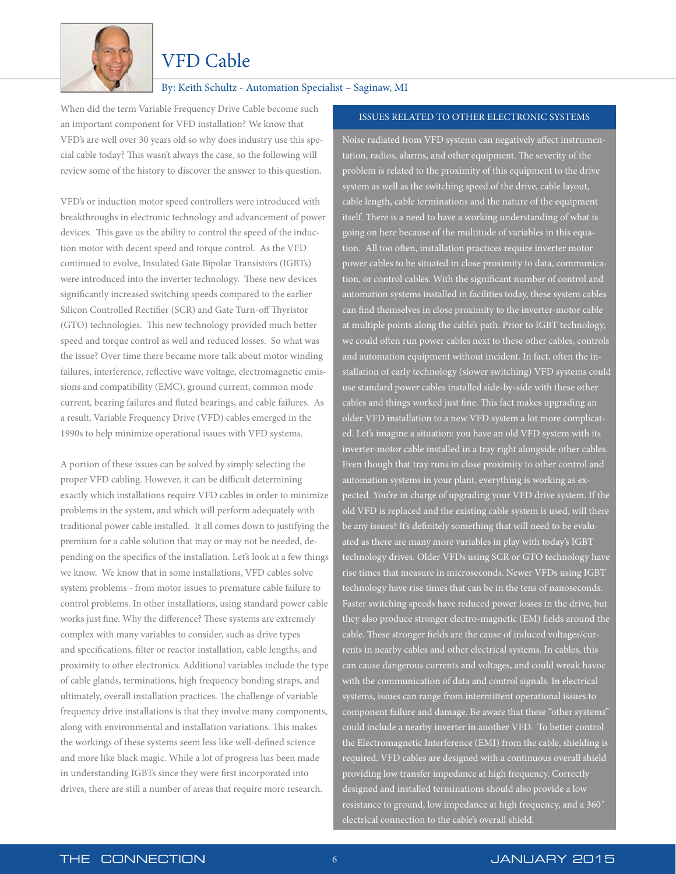

## VFD Cable

#### By: Keith Schultz - Automation Specialist – Saginaw, MI

When did the term Variable Frequency Drive Cable become such an important component for VFD installation? We know that VFD's are well over 30 years old so why does industry use this special cable today? This wasn't always the case, so the following will review some of the history to discover the answer to this question.

VFD's or induction motor speed controllers were introduced with breakthroughs in electronic technology and advancement of power devices. This gave us the ability to control the speed of the induction motor with decent speed and torque control. As the VFD continued to evolve, Insulated Gate Bipolar Transistors (IGBTs) were introduced into the inverter technology. These new devices significantly increased switching speeds compared to the earlier Silicon Controlled Rectifier (SCR) and Gate Turn-off Thyristor (GTO) technologies. This new technology provided much better speed and torque control as well and reduced losses. So what was the issue? Over time there became more talk about motor winding failures, interference, reflective wave voltage, electromagnetic emissions and compatibility (EMC), ground current, common mode current, bearing failures and fluted bearings, and cable failures. As a result, Variable Frequency Drive (VFD) cables emerged in the 1990s to help minimize operational issues with VFD systems.

A portion of these issues can be solved by simply selecting the proper VFD cabling. However, it can be difficult determining exactly which installations require VFD cables in order to minimize problems in the system, and which will perform adequately with traditional power cable installed. It all comes down to justifying the premium for a cable solution that may or may not be needed, depending on the specifics of the installation. Let's look at a few things we know. We know that in some installations, VFD cables solve system problems - from motor issues to premature cable failure to control problems. In other installations, using standard power cable works just fine. Why the difference? These systems are extremely complex with many variables to consider, such as drive types and specifications, filter or reactor installation, cable lengths, and proximity to other electronics. Additional variables include the type of cable glands, terminations, high frequency bonding straps, and ultimately, overall installation practices. The challenge of variable frequency drive installations is that they involve many components, along with environmental and installation variations. This makes the workings of these systems seem less like well-defined science and more like black magic. While a lot of progress has been made in understanding IGBTs since they were first incorporated into drives, there are still a number of areas that require more research.

#### ISSUES RELATED TO OTHER ELECTRONIC SYSTEMS

Noise radiated from VFD systems can negatively affect instrumentation, radios, alarms, and other equipment. The severity of the problem is related to the proximity of this equipment to the drive system as well as the switching speed of the drive, cable layout, cable length, cable terminations and the nature of the equipment itself. There is a need to have a working understanding of what is going on here because of the multitude of variables in this equation. All too often, installation practices require inverter motor power cables to be situated in close proximity to data, communication, or control cables. With the significant number of control and automation systems installed in facilities today, these system cables can find themselves in close proximity to the inverter-motor cable at multiple points along the cable's path. Prior to IGBT technology, we could often run power cables next to these other cables, controls and automation equipment without incident. In fact, often the installation of early technology (slower switching) VFD systems could use standard power cables installed side-by-side with these other cables and things worked just fine. This fact makes upgrading an older VFD installation to a new VFD system a lot more complicated. Let's imagine a situation: you have an old VFD system with its inverter-motor cable installed in a tray right alongside other cables. Even though that tray runs in close proximity to other control and automation systems in your plant, everything is working as expected. You're in charge of upgrading your VFD drive system. If the old VFD is replaced and the existing cable system is used, will there be any issues? It's definitely something that will need to be evaluated as there are many more variables in play with today's IGBT technology drives. Older VFDs using SCR or GTO technology have rise times that measure in microseconds. Newer VFDs using IGBT technology have rise times that can be in the tens of nanoseconds. Faster switching speeds have reduced power losses in the drive, but they also produce stronger electro-magnetic (EM) fields around the cable. These stronger fields are the cause of induced voltages/currents in nearby cables and other electrical systems. In cables, this can cause dangerous currents and voltages, and could wreak havoc with the communication of data and control signals. In electrical systems, issues can range from intermittent operational issues to component failure and damage. Be aware that these "other systems" could include a nearby inverter in another VFD. To better control the Electromagnetic Interference (EMI) from the cable, shielding is required. VFD cables are designed with a continuous overall shield providing low transfer impedance at high frequency. Correctly designed and installed terminations should also provide a low resistance to ground, low impedance at high frequency, and a 360˚ electrical connection to the cable's overall shield.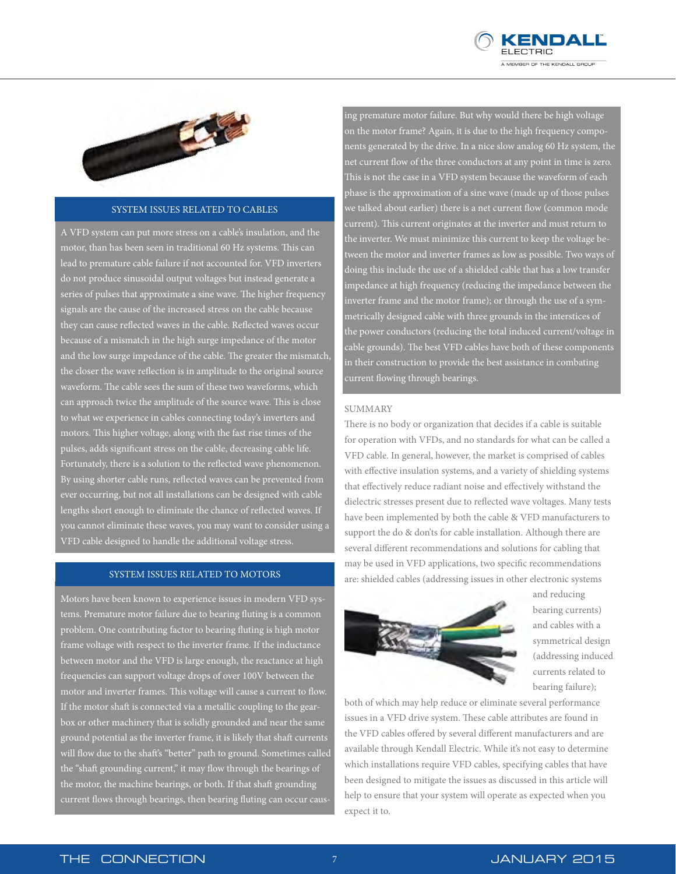



#### SYSTEM ISSUES RELATED TO CABLES

A VFD system can put more stress on a cable's insulation, and the motor, than has been seen in traditional 60 Hz systems. This can lead to premature cable failure if not accounted for. VFD inverters do not produce sinusoidal output voltages but instead generate a series of pulses that approximate a sine wave. The higher frequency signals are the cause of the increased stress on the cable because they can cause reflected waves in the cable. Reflected waves occur because of a mismatch in the high surge impedance of the motor and the low surge impedance of the cable. The greater the mismatch, the closer the wave reflection is in amplitude to the original source waveform. The cable sees the sum of these two waveforms, which can approach twice the amplitude of the source wave. This is close to what we experience in cables connecting today's inverters and motors. This higher voltage, along with the fast rise times of the pulses, adds significant stress on the cable, decreasing cable life. Fortunately, there is a solution to the reflected wave phenomenon. By using shorter cable runs, reflected waves can be prevented from ever occurring, but not all installations can be designed with cable lengths short enough to eliminate the chance of reflected waves. If you cannot eliminate these waves, you may want to consider using a VFD cable designed to handle the additional voltage stress.

#### SYSTEM ISSUES RELATED TO MOTORS

Motors have been known to experience issues in modern VFD systems. Premature motor failure due to bearing fluting is a common problem. One contributing factor to bearing fluting is high motor frame voltage with respect to the inverter frame. If the inductance between motor and the VFD is large enough, the reactance at high frequencies can support voltage drops of over 100V between the motor and inverter frames. This voltage will cause a current to flow. If the motor shaft is connected via a metallic coupling to the gearbox or other machinery that is solidly grounded and near the same ground potential as the inverter frame, it is likely that shaft currents will flow due to the shaft's "better" path to ground. Sometimes called the "shaft grounding current," it may flow through the bearings of the motor, the machine bearings, or both. If that shaft grounding current flows through bearings, then bearing fluting can occur causing premature motor failure. But why would there be high voltage on the motor frame? Again, it is due to the high frequency components generated by the drive. In a nice slow analog 60 Hz system, the net current flow of the three conductors at any point in time is zero. This is not the case in a VFD system because the waveform of each phase is the approximation of a sine wave (made up of those pulses we talked about earlier) there is a net current flow (common mode current). This current originates at the inverter and must return to the inverter. We must minimize this current to keep the voltage between the motor and inverter frames as low as possible. Two ways of doing this include the use of a shielded cable that has a low transfer impedance at high frequency (reducing the impedance between the inverter frame and the motor frame); or through the use of a symmetrically designed cable with three grounds in the interstices of the power conductors (reducing the total induced current/voltage in cable grounds). The best VFD cables have both of these components in their construction to provide the best assistance in combating current flowing through bearings.

#### SUMMARY

There is no body or organization that decides if a cable is suitable for operation with VFDs, and no standards for what can be called a VFD cable. In general, however, the market is comprised of cables with effective insulation systems, and a variety of shielding systems that effectively reduce radiant noise and effectively withstand the dielectric stresses present due to reflected wave voltages. Many tests have been implemented by both the cable & VFD manufacturers to support the do & don'ts for cable installation. Although there are several different recommendations and solutions for cabling that may be used in VFD applications, two specific recommendations are: shielded cables (addressing issues in other electronic systems



and reducing bearing currents) and cables with a symmetrical design (addressing induced currents related to bearing failure);

both of which may help reduce or eliminate several performance issues in a VFD drive system. These cable attributes are found in the VFD cables offered by several different manufacturers and are available through Kendall Electric. While it's not easy to determine which installations require VFD cables, specifying cables that have been designed to mitigate the issues as discussed in this article will help to ensure that your system will operate as expected when you expect it to.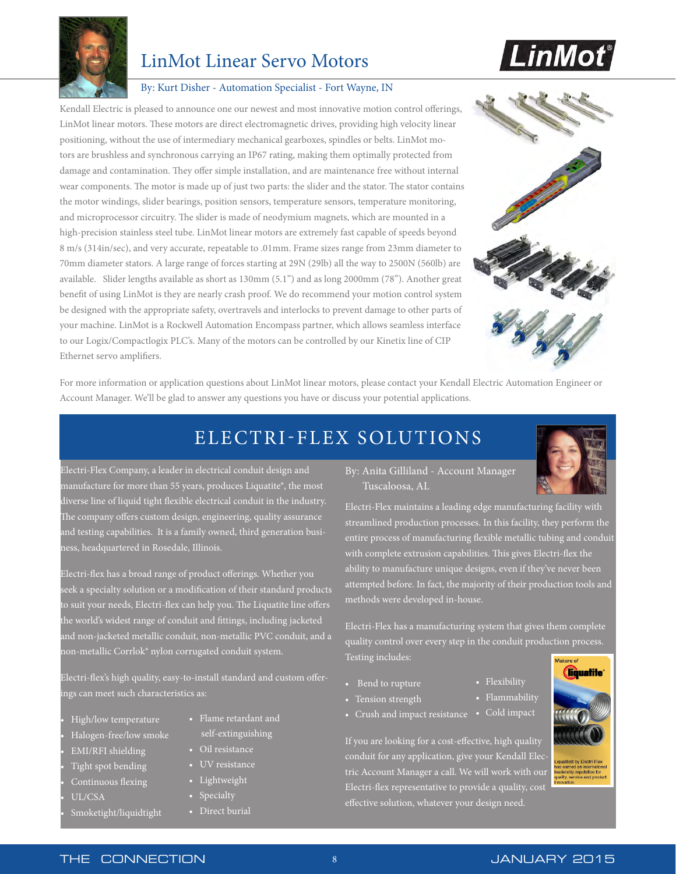

## LinMot Linear Servo Motors



#### By: Kurt Disher - Automation Specialist - Fort Wayne, IN

Kendall Electric is pleased to announce one our newest and most innovative motion control offerings, LinMot linear motors. These motors are direct electromagnetic drives, providing high velocity linear positioning, without the use of intermediary mechanical gearboxes, spindles or belts. LinMot motors are brushless and synchronous carrying an IP67 rating, making them optimally protected from damage and contamination. They offer simple installation, and are maintenance free without internal wear components. The motor is made up of just two parts: the slider and the stator. The stator contains the motor windings, slider bearings, position sensors, temperature sensors, temperature monitoring, and microprocessor circuitry. The slider is made of neodymium magnets, which are mounted in a high-precision stainless steel tube. LinMot linear motors are extremely fast capable of speeds beyond 8 m/s (314in/sec), and very accurate, repeatable to .01mm. Frame sizes range from 23mm diameter to 70mm diameter stators. A large range of forces starting at 29N (29lb) all the way to 2500N (560lb) are available. Slider lengths available as short as 130mm (5.1") and as long 2000mm (78"). Another great benefit of using LinMot is they are nearly crash proof. We do recommend your motion control system be designed with the appropriate safety, overtravels and interlocks to prevent damage to other parts of your machine. LinMot is a Rockwell Automation Encompass partner, which allows seamless interface to our Logix/Compactlogix PLC's. Many of the motors can be controlled by our Kinetix line of CIP Ethernet servo amplifiers.



For more information or application questions about LinMot linear motors, please contact your Kendall Electric Automation Engineer or Account Manager. We'll be glad to answer any questions you have or discuss your potential applications.

# ELECTRI-FLEX SOLUTIONS

Electri-Flex Company, a leader in electrical conduit design and manufacture for more than 55 years, produces Liquatite®, the most diverse line of liquid tight flexible electrical conduit in the industry. The company offers custom design, engineering, quality assurance and testing capabilities. It is a family owned, third generation business, headquartered in Rosedale, Illinois.

Electri-flex has a broad range of product offerings. Whether you seek a specialty solution or a modification of their standard products to suit your needs, Electri-flex can help you. The Liquatite line offers the world's widest range of conduit and fittings, including jacketed and non-jacketed metallic conduit, non-metallic PVC conduit, and a non-metallic Corrlok® nylon corrugated conduit system.

Electri-flex's high quality, easy-to-install standard and custom offerings can meet such characteristics as:

> • Flame retardant and self-extinguishing

• Oil resistance

• Lightweight • Specialty • Direct burial

- High/low temperature
- Halogen-free/low smoke
- EMI/RFI shielding
- Tight spot bending
- Continuous flexing
- UL/CSA

ı

• Smoketight/liquidtight

By: Anita Gilliland - Account Manager Tuscaloosa, AL

Electri-Flex maintains a leading edge manufacturing facility with streamlined production processes. In this facility, they perform the entire process of manufacturing flexible metallic tubing and conduit with complete extrusion capabilities. This gives Electri-flex the ability to manufacture unique designs, even if they've never been attempted before. In fact, the majority of their production tools and methods were developed in-house.

Electri-Flex has a manufacturing system that gives them complete quality control over every step in the conduit production process. Testing includes: Makere of

- Bend to rupture
- Tension strength
- Crush and impact resistance Cold impact

If you are looking for a cost-effective, high quality conduit for any application, give your Kendall Electric Account Manager a call. We will work with our Electri-flex representative to provide a quality, cost effective solution, whatever your design need.

• Flexibility • Flammability



fership reputation for<br>lity, service and product

THE CONNECTION 8 JANUARY 2015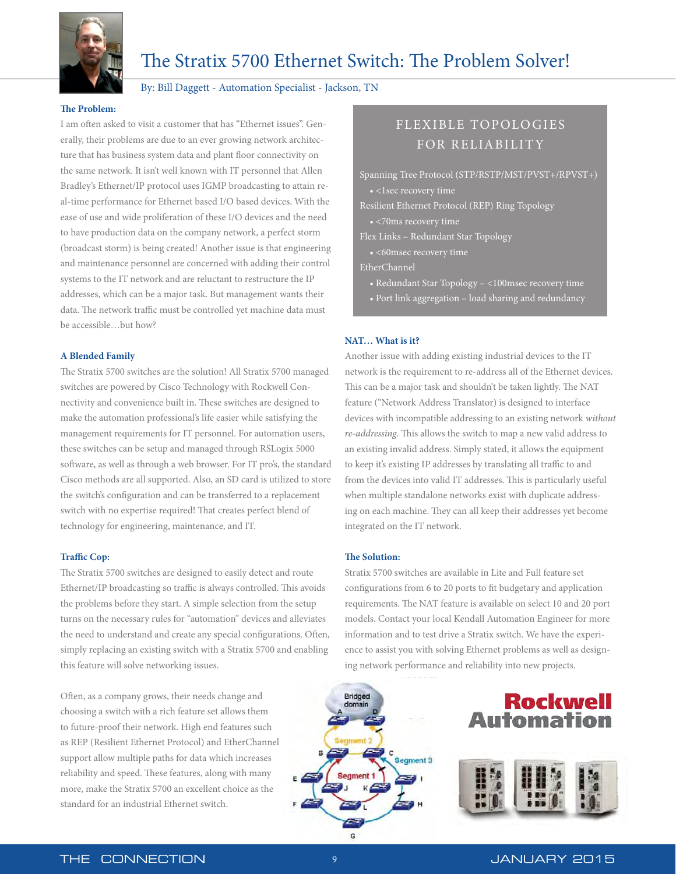

# The Stratix 5700 Ethernet Switch: The Problem Solver!

#### By: Bill Daggett - Automation Specialist - Jackson, TN

#### **The Problem:**

I am often asked to visit a customer that has "Ethernet issues". Generally, their problems are due to an ever growing network architecture that has business system data and plant floor connectivity on the same network. It isn't well known with IT personnel that Allen Bradley's Ethernet/IP protocol uses IGMP broadcasting to attain real-time performance for Ethernet based I/O based devices. With the ease of use and wide proliferation of these I/O devices and the need to have production data on the company network, a perfect storm (broadcast storm) is being created! Another issue is that engineering and maintenance personnel are concerned with adding their control systems to the IT network and are reluctant to restructure the IP addresses, which can be a major task. But management wants their data. The network traffic must be controlled yet machine data must be accessible…but how?

#### **A Blended Family**

The Stratix 5700 switches are the solution! All Stratix 5700 managed switches are powered by Cisco Technology with Rockwell Connectivity and convenience built in. These switches are designed to make the automation professional's life easier while satisfying the management requirements for IT personnel. For automation users, these switches can be setup and managed through RSLogix 5000 software, as well as through a web browser. For IT pro's, the standard Cisco methods are all supported. Also, an SD card is utilized to store the switch's configuration and can be transferred to a replacement switch with no expertise required! That creates perfect blend of technology for engineering, maintenance, and IT.

#### **Traffic Cop:**

The Stratix 5700 switches are designed to easily detect and route Ethernet/IP broadcasting so traffic is always controlled. This avoids the problems before they start. A simple selection from the setup turns on the necessary rules for "automation" devices and alleviates the need to understand and create any special configurations. Often, simply replacing an existing switch with a Stratix 5700 and enabling this feature will solve networking issues.

Often, as a company grows, their needs change and choosing a switch with a rich feature set allows them to future-proof their network. High end features such as REP (Resilient Ethernet Protocol) and EtherChannel support allow multiple paths for data which increases reliability and speed. These features, along with many more, make the Stratix 5700 an excellent choice as the standard for an industrial Ethernet switch.

### FLEXIBLE TOPOLO GIES FOR RELIABILITY

Spanning Tree Protocol (STP/RSTP/MST/PVST+/RPVST+)

• <1sec recovery time

Resilient Ethernet Protocol (REP) Ring Topology

- <70ms recovery time
- Flex Links Redundant Star Topology
	-
- EtherChannel
	- Redundant Star Topology <100msec recovery time
	- Port link aggregation load sharing and redundancy

#### **NAT… What is it?**

Another issue with adding existing industrial devices to the IT network is the requirement to re-address all of the Ethernet devices. This can be a major task and shouldn't be taken lightly. The NAT feature ("Network Address Translator) is designed to interface devices with incompatible addressing to an existing network *without re-addressing*. This allows the switch to map a new valid address to an existing invalid address. Simply stated, it allows the equipment to keep it's existing IP addresses by translating all traffic to and from the devices into valid IT addresses. This is particularly useful when multiple standalone networks exist with duplicate addressing on each machine. They can all keep their addresses yet become integrated on the IT network.

#### **The Solution:**

Stratix 5700 switches are available in Lite and Full feature set configurations from 6 to 20 ports to fit budgetary and application requirements. The NAT feature is available on select 10 and 20 port models. Contact your local Kendall Automation Engineer for more information and to test drive a Stratix switch. We have the experience to assist you with solving Ethernet problems as well as designing network performance and reliability into new projects.



## **Rockwell Automation**

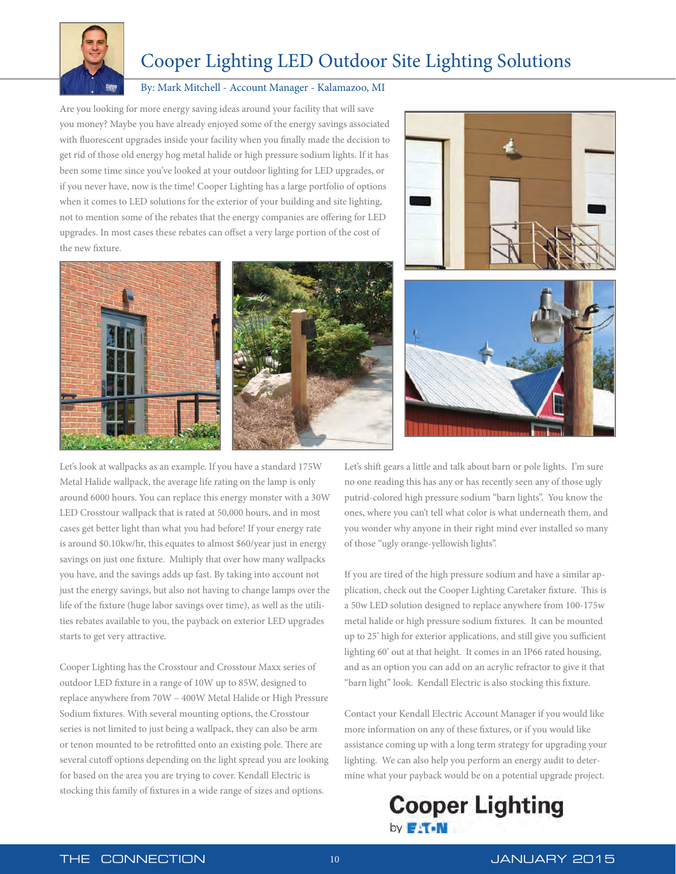

# Cooper Lighting LED Outdoor Site Lighting Solutions

#### By: Mark Mitchell - Account Manager - Kalamazoo, MI

Are you looking for more energy saving ideas around your facility that will save you money? Maybe you have already enjoyed some of the energy savings associated with fluorescent upgrades inside your facility when you finally made the decision to get rid of those old energy hog metal halide or high pressure sodium lights. If it has been some time since you've looked at your outdoor lighting for LED upgrades, or if you never have, now is the time! Cooper Lighting has a large portfolio of options when it comes to LED solutions for the exterior of your building and site lighting, not to mention some of the rebates that the energy companies are offering for LED upgrades. In most cases these rebates can offset a very large portion of the cost of the new fixture.









Let's look at wallpacks as an example. If you have a standard 175W Metal Halide wallpack, the average life rating on the lamp is only around 6000 hours. You can replace this energy monster with a 30W LED Crosstour wallpack that is rated at 50,000 hours, and in most cases get better light than what you had before! If your energy rate is around \$0.10kw/hr, this equates to almost \$60/year just in energy savings on just one fixture. Multiply that over how many wallpacks you have, and the savings adds up fast. By taking into account not just the energy savings, but also not having to change lamps over the life of the fixture (huge labor savings over time), as well as the utilities rebates available to you, the payback on exterior LED upgrades starts to get very attractive.

Cooper Lighting has the Crosstour and Crosstour Maxx series of outdoor LED fixture in a range of 10W up to 85W, designed to replace anywhere from 70W – 400W Metal Halide or High Pressure Sodium fixtures. With several mounting options, the Crosstour series is not limited to just being a wallpack, they can also be arm or tenon mounted to be retrofitted onto an existing pole. There are several cutoff options depending on the light spread you are looking for based on the area you are trying to cover. Kendall Electric is stocking this family of fixtures in a wide range of sizes and options.

Let's shift gears a little and talk about barn or pole lights. I'm sure no one reading this has any or has recently seen any of those ugly putrid-colored high pressure sodium "barn lights". You know the ones, where you can't tell what color is what underneath them, and you wonder why anyone in their right mind ever installed so many of those "ugly orange-yellowish lights".

If you are tired of the high pressure sodium and have a similar application, check out the Cooper Lighting Caretaker fixture. This is a 50w LED solution designed to replace anywhere from 100-175w metal halide or high pressure sodium fixtures. It can be mounted up to 25' high for exterior applications, and still give you sufficient lighting 60' out at that height. It comes in an IP66 rated housing, and as an option you can add on an acrylic refractor to give it that "barn light" look. Kendall Electric is also stocking this fixture.

Contact your Kendall Electric Account Manager if you would like more information on any of these fixtures, or if you would like assistance coming up with a long term strategy for upgrading your lighting. We can also help you perform an energy audit to determine what your payback would be on a potential upgrade project.

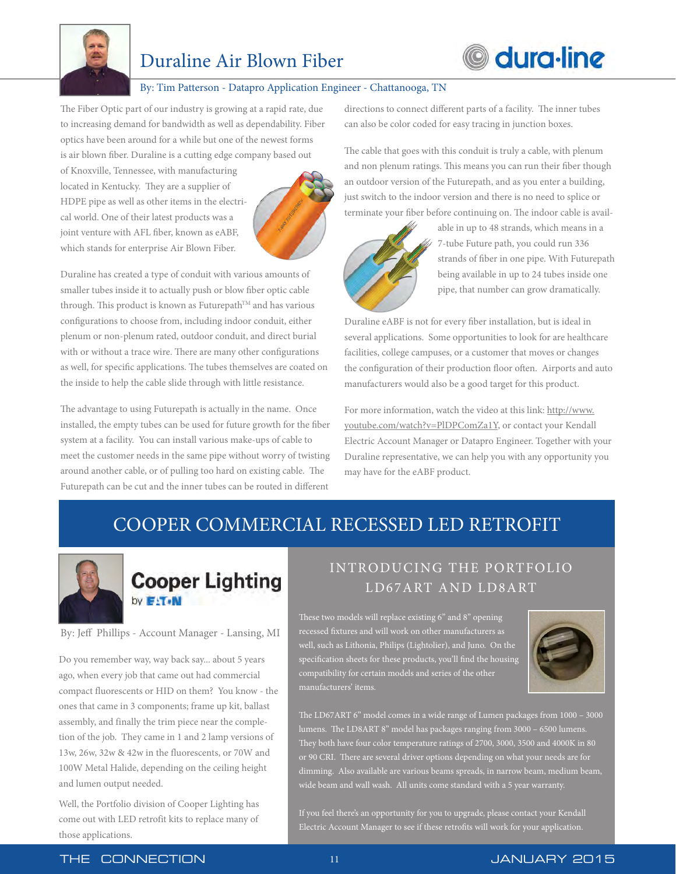

# Duraline Air Blown Fiber

# **O** dura-line

#### By: Tim Patterson - Datapro Application Engineer - Chattanooga, TN

The Fiber Optic part of our industry is growing at a rapid rate, due to increasing demand for bandwidth as well as dependability. Fiber optics have been around for a while but one of the newest forms is air blown fiber. Duraline is a cutting edge company based out

of Knoxville, Tennessee, with manufacturing located in Kentucky. They are a supplier of HDPE pipe as well as other items in the electrical world. One of their latest products was a joint venture with AFL fiber, known as eABF, which stands for enterprise Air Blown Fiber.



Duraline has created a type of conduit with various amounts of smaller tubes inside it to actually push or blow fiber optic cable through. This product is known as Futurepath™ and has various configurations to choose from, including indoor conduit, either plenum or non-plenum rated, outdoor conduit, and direct burial with or without a trace wire. There are many other configurations as well, for specific applications. The tubes themselves are coated on the inside to help the cable slide through with little resistance.

The advantage to using Futurepath is actually in the name. Once installed, the empty tubes can be used for future growth for the fiber system at a facility. You can install various make-ups of cable to meet the customer needs in the same pipe without worry of twisting around another cable, or of pulling too hard on existing cable. The Futurepath can be cut and the inner tubes can be routed in different

directions to connect different parts of a facility. The inner tubes can also be color coded for easy tracing in junction boxes.

The cable that goes with this conduit is truly a cable, with plenum and non plenum ratings. This means you can run their fiber though an outdoor version of the Futurepath, and as you enter a building, just switch to the indoor version and there is no need to splice or terminate your fiber before continuing on. The indoor cable is avail-



 able in up to 48 strands, which means in a 7-tube Future path, you could run 336 strands of fiber in one pipe. With Futurepath being available in up to 24 tubes inside one pipe, that number can grow dramatically.

Duraline eABF is not for every fiber installation, but is ideal in several applications. Some opportunities to look for are healthcare facilities, college campuses, or a customer that moves or changes the configuration of their production floor often. Airports and auto manufacturers would also be a good target for this product.

For more information, watch the video at this link: http://www. [youtube.com/watch?v=PlDPComZa1Y, or contact your Kendall](https://www.youtube.com/watch?v=PlDPComZa1Y)  Electric Account Manager or Datapro Engineer. Together with your Duraline representative, we can help you with any opportunity you may have for the eABF product.

# COOPER COMMERCIAL RECESSED LED RETROFIT



# **Cooper Lighting** by **E-T-N**

#### By: Jeff Phillips - Account Manager - Lansing, MI

Do you remember way, way back say... about 5 years ago, when every job that came out had commercial compact fluorescents or HID on them? You know - the ones that came in 3 components; frame up kit, ballast assembly, and finally the trim piece near the completion of the job. They came in 1 and 2 lamp versions of 13w, 26w, 32w & 42w in the fluorescents, or 70W and 100W Metal Halide, depending on the ceiling height and lumen output needed.

Well, the Portfolio division of Cooper Lighting has come out with LED retrofit kits to replace many of those applications.

## INTRODUCING THE PORTFOLIO LD67ART AND LD8ART

These two models will replace existing 6" and 8" opening recessed fixtures and will work on other manufacturers as well, such as Lithonia, Philips (Lightolier), and Juno. On the specification sheets for these products, you'll find the housing compatibility for certain models and series of the other manufacturers' items.



The LD67ART 6" model comes in a wide range of Lumen packages from 1000 – 3000 lumens. The LD8ART 8" model has packages ranging from 3000 – 6500 lumens. They both have four color temperature ratings of 2700, 3000, 3500 and 4000K in 80 or 90 CRI. There are several driver options depending on what your needs are for dimming. Also available are various beams spreads, in narrow beam, medium beam,

If you feel there's an opportunity for you to upgrade, please contact your Kendall Electric Account Manager to see if these retrofits will work for your application.

#### THE CONNECTION 11 11 JANUARY 2015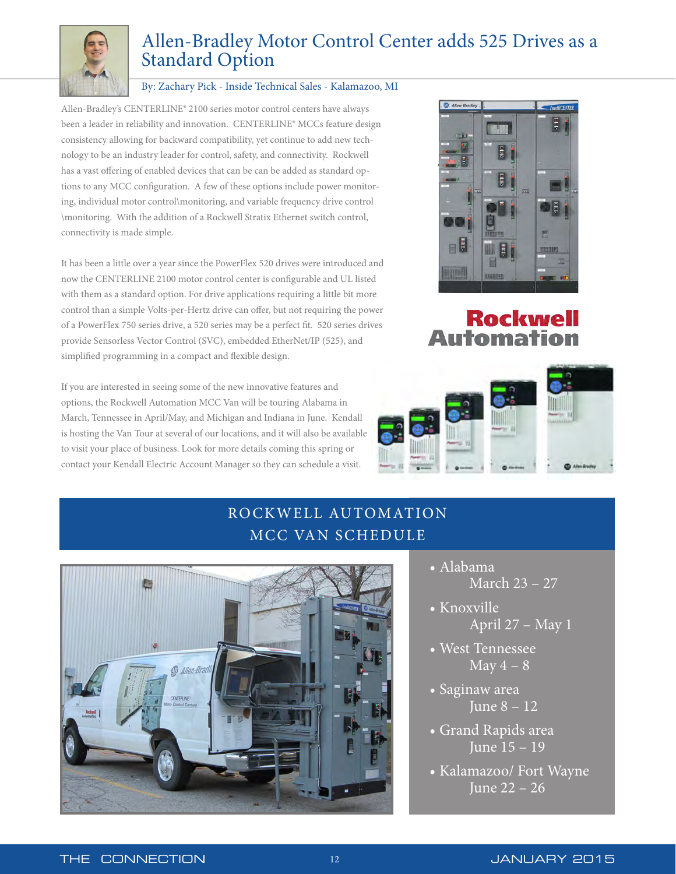

# Allen-Bradley Motor Control Center adds 525 Drives as a Standard Option

#### By: Zachary Pick - Inside Technical Sales - Kalamazoo, MI

Allen-Bradley's CENTERLINE® 2100 series motor control centers have always been a leader in reliability and innovation. CENTERLINE® MCCs feature design consistency allowing for backward compatibility, yet continue to add new technology to be an industry leader for control, safety, and connectivity. Rockwell has a vast offering of enabled devices that can be can be added as standard options to any MCC configuration. A few of these options include power monitoring, individual motor control\monitoring, and variable frequency drive control \monitoring. With the addition of a Rockwell Stratix Ethernet switch control, connectivity is made simple.

It has been a little over a year since the PowerFlex 520 drives were introduced and now the CENTERLINE 2100 motor control center is configurable and UL listed with them as a standard option. For drive applications requiring a little bit more control than a simple Volts-per-Hertz drive can offer, but not requiring the power of a PowerFlex 750 series drive, a 520 series may be a perfect fit. 520 series drives provide Sensorless Vector Control (SVC), embedded EtherNet/IP (525), and simplified programming in a compact and flexible design.

If you are interested in seeing some of the new innovative features and options, the Rockwell Automation MCC Van will be touring Alabama in March, Tennessee in April/May, and Michigan and Indiana in June. Kendall is hosting the Van Tour at several of our locations, and it will also be available to visit your place of business. Look for more details coming this spring or contact your Kendall Electric Account Manager so they can schedule a visit.



# **Rockwell Automation**



# RO CKWELL AUTOMATION MCC VAN SCHEDULE



- Alabama March 23 – 27
- Knoxville April 27 – May 1
- West Tennessee May  $4 - 8$
- Saginaw area June 8 – 12
- Grand Rapids area June 15 – 19
- Kalamazoo/ Fort Wayne June 22 – 26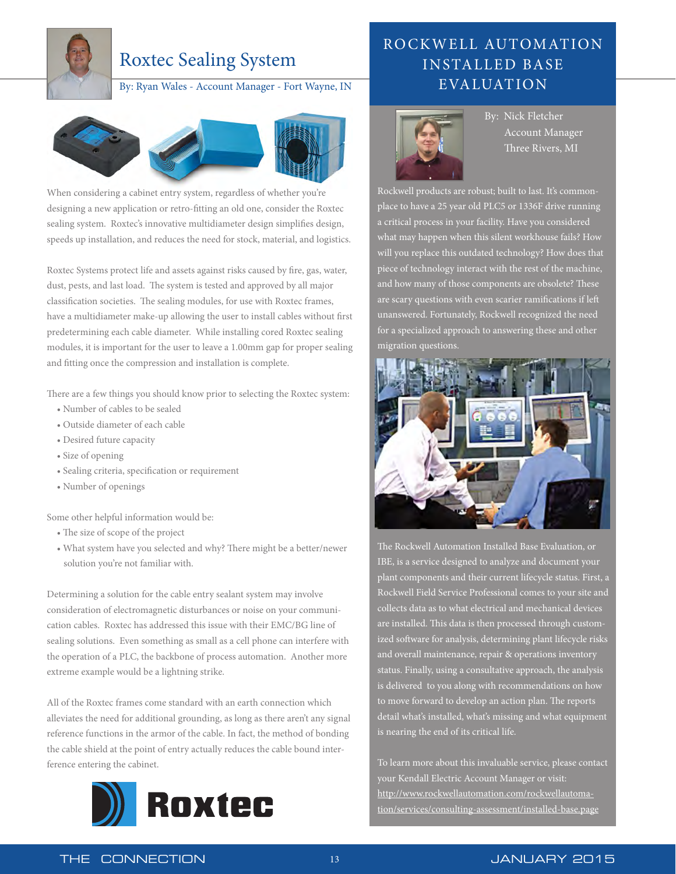

# Roxtec Sealing System

By: Ryan Wales - Account Manager - Fort Wayne, IN



When considering a cabinet entry system, regardless of whether you're designing a new application or retro-fitting an old one, consider the Roxtec sealing system. Roxtec's innovative multidiameter design simplifies design, speeds up installation, and reduces the need for stock, material, and logistics.

Roxtec Systems protect life and assets against risks caused by fire, gas, water, dust, pests, and last load. The system is tested and approved by all major classification societies. The sealing modules, for use with Roxtec frames, have a multidiameter make-up allowing the user to install cables without first predetermining each cable diameter. While installing cored Roxtec sealing modules, it is important for the user to leave a 1.00mm gap for proper sealing and fitting once the compression and installation is complete.

There are a few things you should know prior to selecting the Roxtec system:

- Number of cables to be sealed
- Outside diameter of each cable
- Desired future capacity
- Size of opening
- Sealing criteria, specification or requirement
- Number of openings

Some other helpful information would be:

- The size of scope of the project
- What system have you selected and why? There might be a better/newer solution you're not familiar with.

Determining a solution for the cable entry sealant system may involve consideration of electromagnetic disturbances or noise on your communication cables. Roxtec has addressed this issue with their EMC/BG line of sealing solutions. Even something as small as a cell phone can interfere with the operation of a PLC, the backbone of process automation. Another more extreme example would be a lightning strike.

All of the Roxtec frames come standard with an earth connection which alleviates the need for additional grounding, as long as there aren't any signal reference functions in the armor of the cable. In fact, the method of bonding the cable shield at the point of entry actually reduces the cable bound interference entering the cabinet.



## RO CKWELL AUTOMATION INSTALLED BASE EVALUATION



 By: Nick Fletcher Account Manager Three Rivers, MI

Rockwell products are robust; built to last. It's commonplace to have a 25 year old PLC5 or 1336F drive running a critical process in your facility. Have you considered what may happen when this silent workhouse fails? How will you replace this outdated technology? How does that piece of technology interact with the rest of the machine, and how many of those components are obsolete? These are scary questions with even scarier ramifications if left unanswered. Fortunately, Rockwell recognized the need for a specialized approach to answering these and other migration questions.



The Rockwell Automation Installed Base Evaluation, or IBE, is a service designed to analyze and document your plant components and their current lifecycle status. First, a Rockwell Field Service Professional comes to your site and collects data as to what electrical and mechanical devices are installed. This data is then processed through customized software for analysis, determining plant lifecycle risks and overall maintenance, repair & operations inventory status. Finally, using a consultative approach, the analysis is delivered to you along with recommendations on how to move forward to develop an action plan. The reports detail what's installed, what's missing and what equipment is nearing the end of its critical life.

To learn more about this invaluable service, please contact your Kendall Electric Account Manager or visit: http://www.rockwellautomation.com/rockwellautoma[tion/services/consulting-assessment/installed-base.page](http://www.rockwellautomation.com/rockwellautomation/services/consulting-assessment/installed-base.page)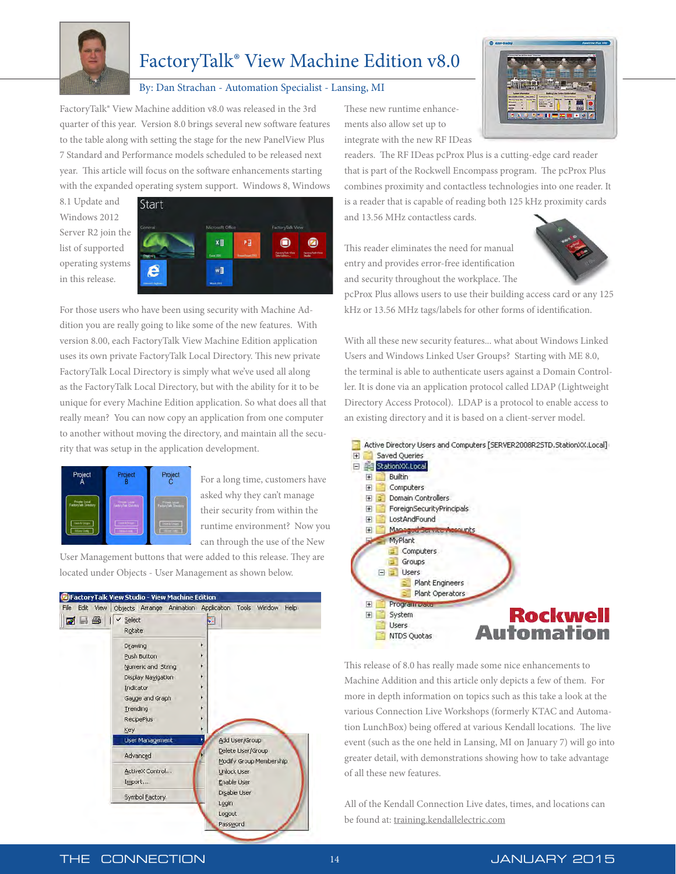

# FactoryTalk® View Machine Edition v8.0

#### By: Dan Strachan - Automation Specialist - Lansing, MI

FactoryTalk® View Machine addition v8.0 was released in the 3rd quarter of this year. Version 8.0 brings several new software features to the table along with setting the stage for the new PanelView Plus 7 Standard and Performance models scheduled to be released next year. This article will focus on the software enhancements starting with the expanded operating system support. Windows 8, Windows

8.1 Update and Windows 2012 Server R2 join the list of supported operating systems in this release.



For those users who have been using security with Machine Addition you are really going to like some of the new features. With version 8.00, each FactoryTalk View Machine Edition application uses its own private FactoryTalk Local Directory. This new private FactoryTalk Local Directory is simply what we've used all along as the FactoryTalk Local Directory, but with the ability for it to be unique for every Machine Edition application. So what does all that really mean? You can now copy an application from one computer to another without moving the directory, and maintain all the security that was setup in the application development.



For a long time, customers have asked why they can't manage their security from within the runtime environment? Now you can through the use of the New

User Management buttons that were added to this release. They are located under Objects - User Management as shown below.



These new runtime enhancements also allow set up to integrate with the new RF IDeas

readers. The RF IDeas pcProx Plus is a cutting-edge card reader that is part of the Rockwell Encompass program. The pcProx Plus combines proximity and contactless technologies into one reader. It is a reader that is capable of reading both 125 kHz proximity cards and 13.56 MHz contactless cards.

This reader eliminates the need for manual entry and provides error-free identification and security throughout the workplace. The



pcProx Plus allows users to use their building access card or any 125 kHz or 13.56 MHz tags/labels for other forms of identification.

With all these new security features... what about Windows Linked Users and Windows Linked User Groups? Starting with ME 8.0, the terminal is able to authenticate users against a Domain Controller. It is done via an application protocol called LDAP (Lightweight Directory Access Protocol). LDAP is a protocol to enable access to an existing directory and it is based on a client-server model.



This release of 8.0 has really made some nice enhancements to Machine Addition and this article only depicts a few of them. For more in depth information on topics such as this take a look at the various Connection Live Workshops (formerly KTAC and Automation LunchBox) being offered at various Kendall locations. The live event (such as the one held in Lansing, MI on January 7) will go into greater detail, with demonstrations showing how to take advantage of all these new features.

All of the Kendall Connection Live dates, times, and locations can be found at: [training.kendallelectric.com](http://training.kendallelectric.com)

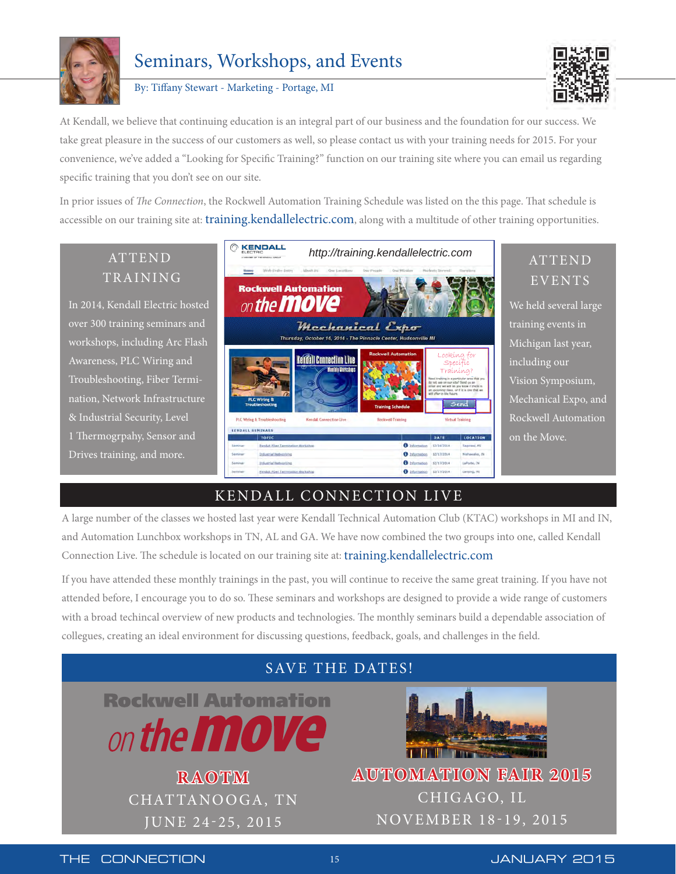

# Seminars, Workshops, and Events

By: Tiffany Stewart - Marketing - Portage, MI



At Kendall, we believe that continuing education is an integral part of our business and the foundation for our success. We take great pleasure in the success of our customers as well, so please contact us with your training needs for 2015. For your convenience, we've added a "Looking for Specific Training?" function on our training site where you can email us regarding specific training that you don't see on our site.

In prior issues of *The Connection*, the Rockwell Automation Training Schedule was listed on the this page. That schedule is accessible on our training site at: [training.kendallelectric.com,](http://training.kendallelectric.com) along with a multitude of other training opportunities.



## KENDALL CONNECTION LIVE

 $\mathbf{0}$  into

A large number of the classes we hosted last year were Kendall Technical Automation Club (KTAC) workshops in MI and IN, and Automation Lunchbox workshops in TN, AL and GA. We have now combined the two groups into one, called Kendall Connection Live. The schedule is located on our training site at[: training.kendallelectric.com](http://training.kendallelectric.com)

If you have attended these monthly trainings in the past, you will continue to receive the same great training. If you have not attended before, I encourage you to do so. These seminars and workshops are designed to provide a wide range of customers with a broad techincal overview of new products and technologies. The monthly seminars build a dependable association of collegues, creating an ideal environment for discussing questions, feedback, goals, and challenges in the field.

## SAVE THE DATES!

**Rockwell Automation** on the **MOVE** 

> **RAOTM** CHATTANOOGA, TN JUNE 24-25, 2015



**AUTOMATION FAIR 2015** CHIGAGO, IL NOVEMBER 18-19, 2015

THE CONNECTION 15 15 JANUARY 2015